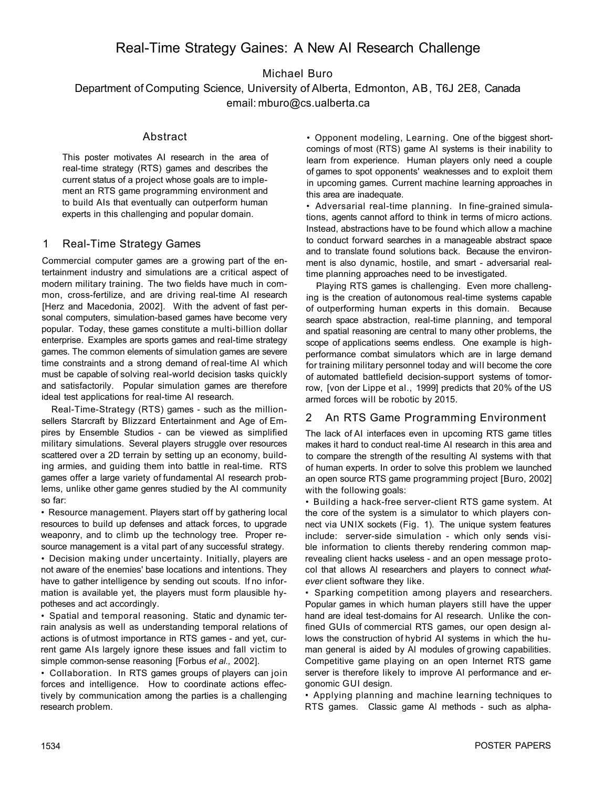# Real-Time Strategy Gaines: A New AI Research Challenge

Michael Buro

Department of Computing Science, University of Alberta, Edmonton, AB, T6J 2E8, Canada email: mburo@cs.ualberta.ca

## Abstract

This poster motivates AI research in the area of real-time strategy (RTS) games and describes the current status of a project whose goals are to implement an RTS game programming environment and to build AIs that eventually can outperform human experts in this challenging and popular domain.

#### 1 Real-Time Strategy Games

Commercial computer games are a growing part of the entertainment industry and simulations are a critical aspect of modern military training. The two fields have much in common, cross-fertilize, and are driving real-time AI research [Herz and Macedonia, 2002]. With the advent of fast personal computers, simulation-based games have become very popular. Today, these games constitute a multi-billion dollar enterprise. Examples are sports games and real-time strategy games. The common elements of simulation games are severe time constraints and a strong demand of real-time AI which must be capable of solving real-world decision tasks quickly and satisfactorily. Popular simulation games are therefore ideal test applications for real-time AI research.

Real-Time-Strategy (RTS) games - such as the millionsellers Starcraft by Blizzard Entertainment and Age of Empires by Ensemble Studios - can be viewed as simplified military simulations. Several players struggle over resources scattered over a 2D terrain by setting up an economy, building armies, and guiding them into battle in real-time. RTS games offer a large variety of fundamental AI research problems, unlike other game genres studied by the AI community so far:

• Resource management. Players start off by gathering local resources to build up defenses and attack forces, to upgrade weaponry, and to climb up the technology tree. Proper resource management is a vital part of any successful strategy.

• Decision making under uncertainty. Initially, players are not aware of the enemies' base locations and intentions. They have to gather intelligence by sending out scouts. If no information is available yet, the players must form plausible hypotheses and act accordingly.

• Spatial and temporal reasoning. Static and dynamic terrain analysis as well as understanding temporal relations of actions is of utmost importance in RTS games - and yet, current game AIs largely ignore these issues and fall victim to simple common-sense reasoning [Forbus *et al.,* 2002].

• Collaboration. In RTS games groups of players can join forces and intelligence. How to coordinate actions effectively by communication among the parties is a challenging research problem.

• Opponent modeling, Learning. One of the biggest shortcomings of most (RTS) game AI systems is their inability to learn from experience. Human players only need a couple of games to spot opponents' weaknesses and to exploit them in upcoming games. Current machine learning approaches in this area are inadequate.

• Adversarial real-time planning. In fine-grained simulations, agents cannot afford to think in terms of micro actions. Instead, abstractions have to be found which allow a machine to conduct forward searches in a manageable abstract space and to translate found solutions back. Because the environment is also dynamic, hostile, and smart - adversarial realtime planning approaches need to be investigated.

Playing RTS games is challenging. Even more challenging is the creation of autonomous real-time systems capable of outperforming human experts in this domain. Because search space abstraction, real-time planning, and temporal and spatial reasoning are central to many other problems, the scope of applications seems endless. One example is highperformance combat simulators which are in large demand for training military personnel today and will become the core of automated battlefield decision-support systems of tomorrow, [von der Lippe et al., 1999] predicts that 20% of the US armed forces will be robotic by 2015.

## 2 An RTS Game Programming Environment

The lack of AI interfaces even in upcoming RTS game titles makes it hard to conduct real-time AI research in this area and to compare the strength of the resulting Al systems with that of human experts. In order to solve this problem we launched an open source RTS game programming project [Buro, 2002] with the following goals:

• Building a hack-free server-client RTS game system. At the core of the system is a simulator to which players connect via UNIX sockets (Fig. 1). The unique system features include: server-side simulation - which only sends visible information to clients thereby rendering common maprevealing client hacks useless - and an open message protocol that allows Al researchers and players to connect *whatever* client software they like.

• Sparking competition among players and researchers. Popular games in which human players still have the upper hand are ideal test-domains for AI research. Unlike the confined GUIs of commercial RTS games, our open design allows the construction of hybrid AI systems in which the human general is aided by Al modules of growing capabilities. Competitive game playing on an open Internet RTS game server is therefore likely to improve AI performance and ergonomic GUI design.

• Applying planning and machine learning techniques to RTS games. Classic game Al methods - such as alpha